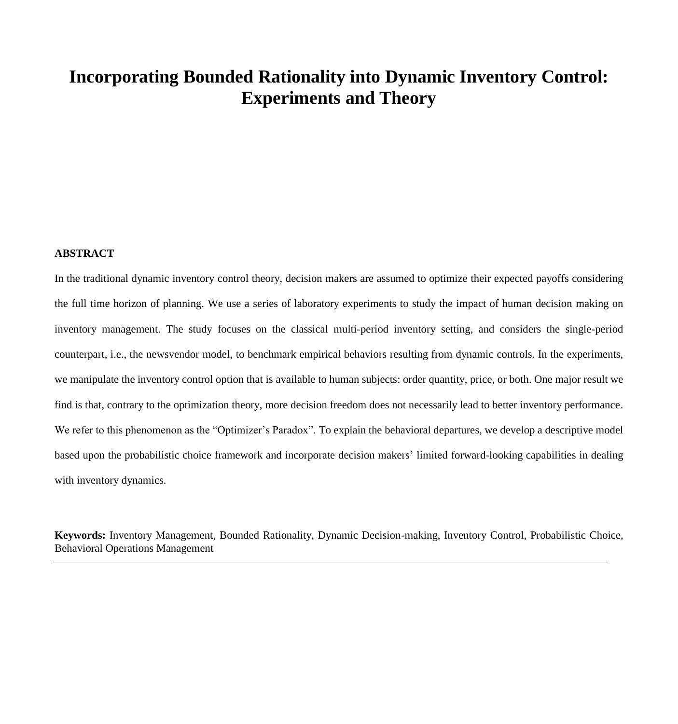# **Incorporating Bounded Rationality into Dynamic Inventory Control: Experiments and Theory**

# **ABSTRACT**

In the traditional dynamic inventory control theory, decision makers are assumed to optimize their expected payoffs considering the full time horizon of planning. We use a series of laboratory experiments to study the impact of human decision making on inventory management. The study focuses on the classical multi-period inventory setting, and considers the single-period counterpart, i.e., the newsvendor model, to benchmark empirical behaviors resulting from dynamic controls. In the experiments, we manipulate the inventory control option that is available to human subjects: order quantity, price, or both. One major result we find is that, contrary to the optimization theory, more decision freedom does not necessarily lead to better inventory performance. We refer to this phenomenon as the "Optimizer's Paradox". To explain the behavioral departures, we develop a descriptive model based upon the probabilistic choice framework and incorporate decision makers' limited forward-looking capabilities in dealing with inventory dynamics.

**Keywords:** Inventory Management, Bounded Rationality, Dynamic Decision-making, Inventory Control, Probabilistic Choice, Behavioral Operations Management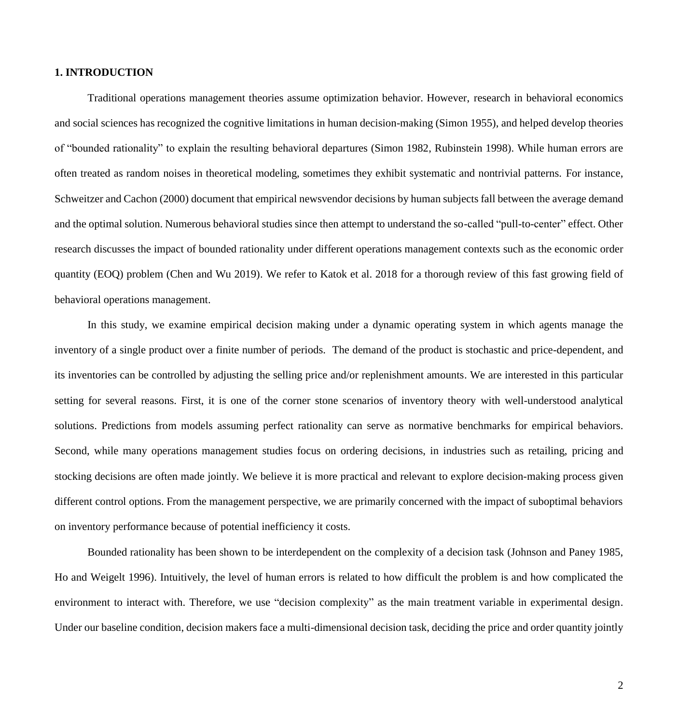## **1. INTRODUCTION**

Traditional operations management theories assume optimization behavior. However, research in behavioral economics and social sciences has recognized the cognitive limitations in human decision-making (Simon 1955), and helped develop theories of "bounded rationality" to explain the resulting behavioral departures (Simon 1982, Rubinstein 1998). While human errors are often treated as random noises in theoretical modeling, sometimes they exhibit systematic and nontrivial patterns. For instance, Schweitzer and Cachon (2000) document that empirical newsvendor decisions by human subjects fall between the average demand and the optimal solution. Numerous behavioral studies since then attempt to understand the so-called "pull-to-center" effect. Other research discusses the impact of bounded rationality under different operations management contexts such as the economic order quantity (EOQ) problem (Chen and Wu 2019). We refer to Katok et al. 2018 for a thorough review of this fast growing field of behavioral operations management.

In this study, we examine empirical decision making under a dynamic operating system in which agents manage the inventory of a single product over a finite number of periods. The demand of the product is stochastic and price-dependent, and its inventories can be controlled by adjusting the selling price and/or replenishment amounts. We are interested in this particular setting for several reasons. First, it is one of the corner stone scenarios of inventory theory with well-understood analytical solutions. Predictions from models assuming perfect rationality can serve as normative benchmarks for empirical behaviors. Second, while many operations management studies focus on ordering decisions, in industries such as retailing, pricing and stocking decisions are often made jointly. We believe it is more practical and relevant to explore decision-making process given different control options. From the management perspective, we are primarily concerned with the impact of suboptimal behaviors on inventory performance because of potential inefficiency it costs.

Bounded rationality has been shown to be interdependent on the complexity of a decision task (Johnson and Paney 1985, Ho and Weigelt 1996). Intuitively, the level of human errors is related to how difficult the problem is and how complicated the environment to interact with. Therefore, we use "decision complexity" as the main treatment variable in experimental design. Under our baseline condition, decision makers face a multi-dimensional decision task, deciding the price and order quantity jointly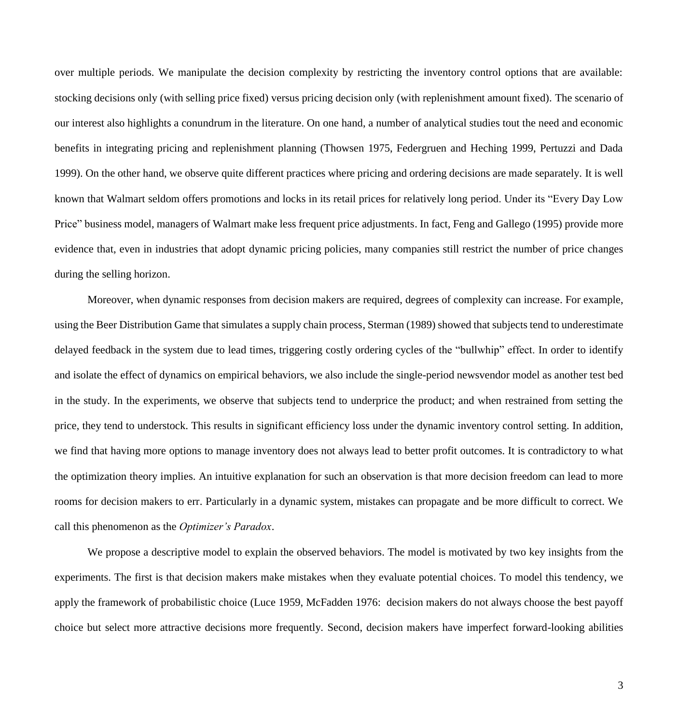over multiple periods. We manipulate the decision complexity by restricting the inventory control options that are available: stocking decisions only (with selling price fixed) versus pricing decision only (with replenishment amount fixed). The scenario of our interest also highlights a conundrum in the literature. On one hand, a number of analytical studies tout the need and economic benefits in integrating pricing and replenishment planning (Thowsen 1975, Federgruen and Heching 1999, Pertuzzi and Dada 1999). On the other hand, we observe quite different practices where pricing and ordering decisions are made separately. It is well known that Walmart seldom offers promotions and locks in its retail prices for relatively long period. Under its "Every Day Low Price" business model, managers of Walmart make less frequent price adjustments. In fact, Feng and Gallego (1995) provide more evidence that, even in industries that adopt dynamic pricing policies, many companies still restrict the number of price changes during the selling horizon.

Moreover, when dynamic responses from decision makers are required, degrees of complexity can increase. For example, using the Beer Distribution Game that simulates a supply chain process, Sterman (1989) showed that subjects tend to underestimate delayed feedback in the system due to lead times, triggering costly ordering cycles of the "bullwhip" effect. In order to identify and isolate the effect of dynamics on empirical behaviors, we also include the single-period newsvendor model as another test bed in the study. In the experiments, we observe that subjects tend to underprice the product; and when restrained from setting the price, they tend to understock. This results in significant efficiency loss under the dynamic inventory control setting. In addition, we find that having more options to manage inventory does not always lead to better profit outcomes. It is contradictory to what the optimization theory implies. An intuitive explanation for such an observation is that more decision freedom can lead to more rooms for decision makers to err. Particularly in a dynamic system, mistakes can propagate and be more difficult to correct. We call this phenomenon as the *Optimizer's Paradox*.

We propose a descriptive model to explain the observed behaviors. The model is motivated by two key insights from the experiments. The first is that decision makers make mistakes when they evaluate potential choices. To model this tendency, we apply the framework of probabilistic choice (Luce 1959, McFadden 1976: decision makers do not always choose the best payoff choice but select more attractive decisions more frequently. Second, decision makers have imperfect forward-looking abilities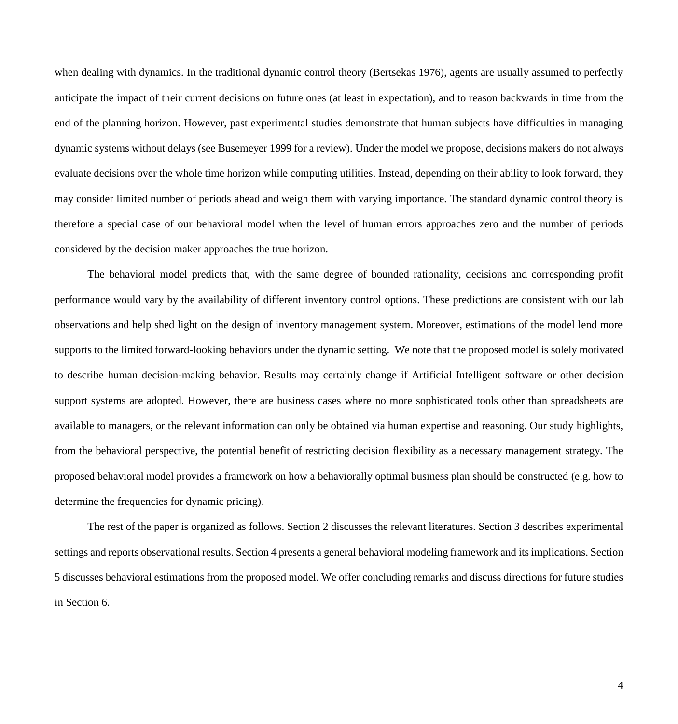when dealing with dynamics. In the traditional dynamic control theory (Bertsekas 1976), agents are usually assumed to perfectly anticipate the impact of their current decisions on future ones (at least in expectation), and to reason backwards in time from the end of the planning horizon. However, past experimental studies demonstrate that human subjects have difficulties in managing dynamic systems without delays (see Busemeyer 1999 for a review). Under the model we propose, decisions makers do not always evaluate decisions over the whole time horizon while computing utilities. Instead, depending on their ability to look forward, they may consider limited number of periods ahead and weigh them with varying importance. The standard dynamic control theory is therefore a special case of our behavioral model when the level of human errors approaches zero and the number of periods considered by the decision maker approaches the true horizon.

The behavioral model predicts that, with the same degree of bounded rationality, decisions and corresponding profit performance would vary by the availability of different inventory control options. These predictions are consistent with our lab observations and help shed light on the design of inventory management system. Moreover, estimations of the model lend more supports to the limited forward-looking behaviors under the dynamic setting. We note that the proposed model is solely motivated to describe human decision-making behavior. Results may certainly change if Artificial Intelligent software or other decision support systems are adopted. However, there are business cases where no more sophisticated tools other than spreadsheets are available to managers, or the relevant information can only be obtained via human expertise and reasoning. Our study highlights, from the behavioral perspective, the potential benefit of restricting decision flexibility as a necessary management strategy. The proposed behavioral model provides a framework on how a behaviorally optimal business plan should be constructed (e.g. how to determine the frequencies for dynamic pricing).

The rest of the paper is organized as follows. Section 2 discusses the relevant literatures. Section 3 describes experimental settings and reports observational results. Section 4 presents a general behavioral modeling framework and its implications. Section 5 discusses behavioral estimations from the proposed model. We offer concluding remarks and discuss directions for future studies in Section 6.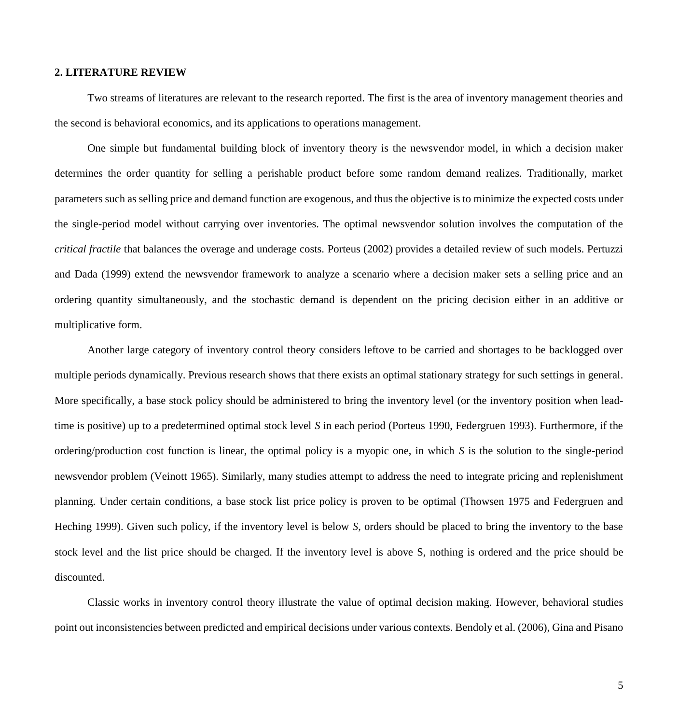## **2. LITERATURE REVIEW**

Two streams of literatures are relevant to the research reported. The first is the area of inventory management theories and the second is behavioral economics, and its applications to operations management.

One simple but fundamental building block of inventory theory is the newsvendor model, in which a decision maker determines the order quantity for selling a perishable product before some random demand realizes. Traditionally, market parameters such as selling price and demand function are exogenous, and thus the objective is to minimize the expected costs under the single-period model without carrying over inventories. The optimal newsvendor solution involves the computation of the *critical fractile* that balances the overage and underage costs. Porteus (2002) provides a detailed review of such models. Pertuzzi and Dada (1999) extend the newsvendor framework to analyze a scenario where a decision maker sets a selling price and an ordering quantity simultaneously, and the stochastic demand is dependent on the pricing decision either in an additive or multiplicative form.

Another large category of inventory control theory considers leftove to be carried and shortages to be backlogged over multiple periods dynamically. Previous research shows that there exists an optimal stationary strategy for such settings in general. More specifically, a base stock policy should be administered to bring the inventory level (or the inventory position when leadtime is positive) up to a predetermined optimal stock level *S* in each period (Porteus 1990, Federgruen 1993). Furthermore, if the ordering/production cost function is linear, the optimal policy is a myopic one, in which *S* is the solution to the single-period newsvendor problem (Veinott 1965). Similarly, many studies attempt to address the need to integrate pricing and replenishment planning. Under certain conditions, a base stock list price policy is proven to be optimal (Thowsen 1975 and Federgruen and Heching 1999). Given such policy, if the inventory level is below *S*, orders should be placed to bring the inventory to the base stock level and the list price should be charged. If the inventory level is above S, nothing is ordered and the price should be discounted.

Classic works in inventory control theory illustrate the value of optimal decision making. However, behavioral studies point out inconsistencies between predicted and empirical decisions under various contexts. Bendoly et al. (2006), Gina and Pisano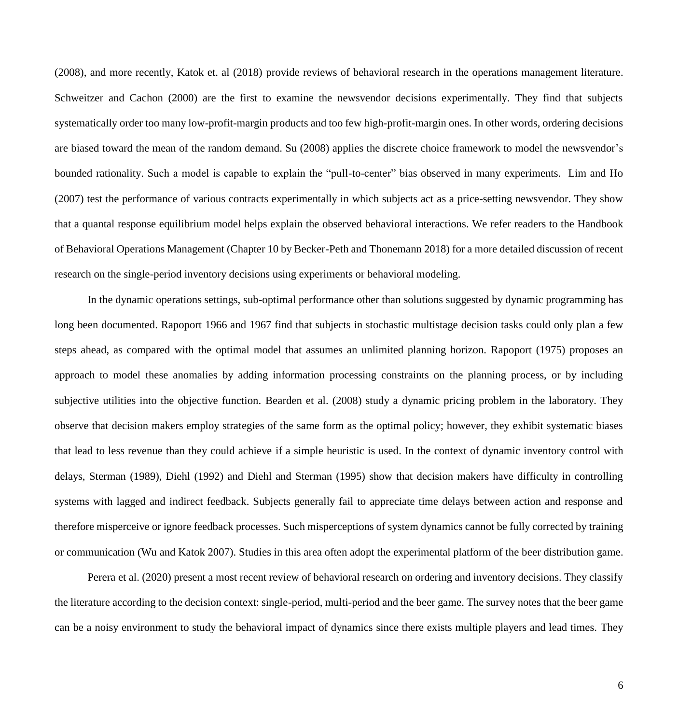(2008), and more recently, Katok et. al (2018) provide reviews of behavioral research in the operations management literature. Schweitzer and Cachon (2000) are the first to examine the newsvendor decisions experimentally. They find that subjects systematically order too many low-profit-margin products and too few high-profit-margin ones. In other words, ordering decisions are biased toward the mean of the random demand. Su (2008) applies the discrete choice framework to model the newsvendor's bounded rationality. Such a model is capable to explain the "pull-to-center" bias observed in many experiments. Lim and Ho (2007) test the performance of various contracts experimentally in which subjects act as a price-setting newsvendor. They show that a quantal response equilibrium model helps explain the observed behavioral interactions. We refer readers to the Handbook of Behavioral Operations Management (Chapter 10 by Becker-Peth and Thonemann 2018) for a more detailed discussion of recent research on the single-period inventory decisions using experiments or behavioral modeling.

In the dynamic operations settings, sub-optimal performance other than solutions suggested by dynamic programming has long been documented. Rapoport 1966 and 1967 find that subjects in stochastic multistage decision tasks could only plan a few steps ahead, as compared with the optimal model that assumes an unlimited planning horizon. Rapoport (1975) proposes an approach to model these anomalies by adding information processing constraints on the planning process, or by including subjective utilities into the objective function. Bearden et al. (2008) study a dynamic pricing problem in the laboratory. They observe that decision makers employ strategies of the same form as the optimal policy; however, they exhibit systematic biases that lead to less revenue than they could achieve if a simple heuristic is used. In the context of dynamic inventory control with delays, Sterman (1989), Diehl (1992) and Diehl and Sterman (1995) show that decision makers have difficulty in controlling systems with lagged and indirect feedback. Subjects generally fail to appreciate time delays between action and response and therefore misperceive or ignore feedback processes. Such misperceptions of system dynamics cannot be fully corrected by training or communication (Wu and Katok 2007). Studies in this area often adopt the experimental platform of the beer distribution game.

Perera et al. (2020) present a most recent review of behavioral research on ordering and inventory decisions. They classify the literature according to the decision context: single-period, multi-period and the beer game. The survey notes that the beer game can be a noisy environment to study the behavioral impact of dynamics since there exists multiple players and lead times. They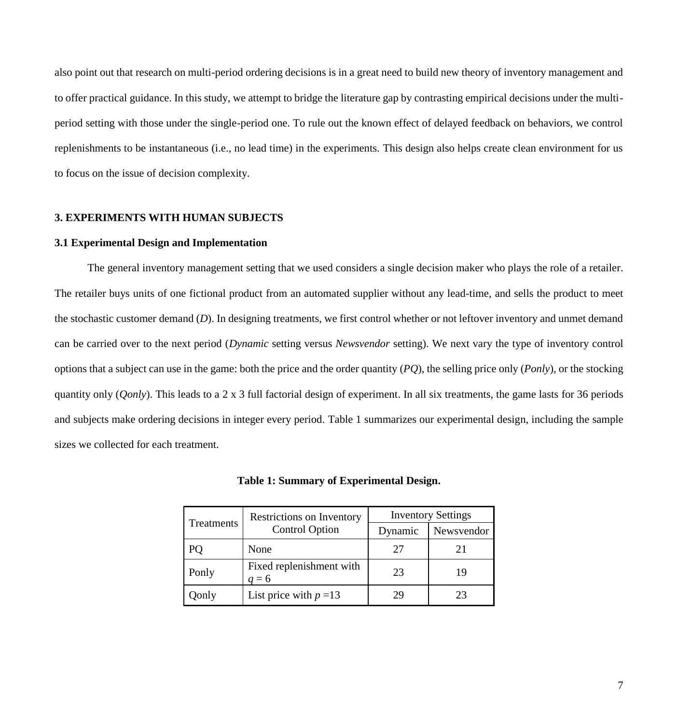also point out that research on multi-period ordering decisions is in a great need to build new theory of inventory management and to offer practical guidance. In this study, we attempt to bridge the literature gap by contrasting empirical decisions under the multiperiod setting with those under the single-period one. To rule out the known effect of delayed feedback on behaviors, we control replenishments to be instantaneous (i.e., no lead time) in the experiments. This design also helps create clean environment for us to focus on the issue of decision complexity.

## **3. EXPERIMENTS WITH HUMAN SUBJECTS**

#### **3.1 Experimental Design and Implementation**

The general inventory management setting that we used considers a single decision maker who plays the role of a retailer. The retailer buys units of one fictional product from an automated supplier without any lead-time, and sells the product to meet the stochastic customer demand (*D*). In designing treatments, we first control whether or not leftover inventory and unmet demand can be carried over to the next period (*Dynamic* setting versus *Newsvendor* setting). We next vary the type of inventory control options that a subject can use in the game: both the price and the order quantity (*PQ*), the selling price only (*Ponly*), or the stocking quantity only (*Qonly*). This leads to a 2 x 3 full factorial design of experiment. In all six treatments, the game lasts for 36 periods and subjects make ordering decisions in integer every period. Table 1 summarizes our experimental design, including the sample sizes we collected for each treatment.

**Table 1: Summary of Experimental Design.**

| Treatments | Restrictions on Inventory<br><b>Control Option</b> | <b>Inventory Settings</b> |            |  |
|------------|----------------------------------------------------|---------------------------|------------|--|
|            |                                                    | Dynamic                   | Newsvendor |  |
|            | None                                               |                           | 21         |  |
| Ponly      | Fixed replenishment with<br>$= 6$                  | 23                        | 19         |  |
| )only      | List price with $p=13$                             |                           | 23         |  |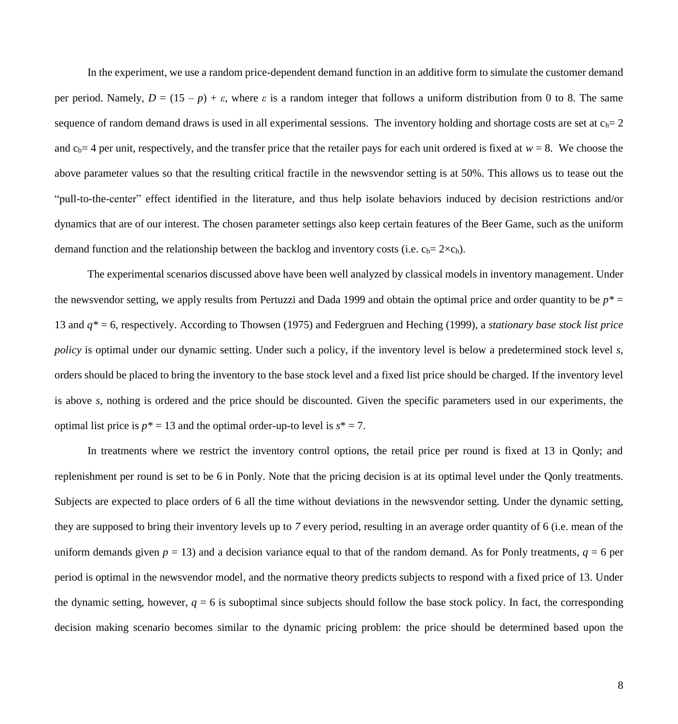In the experiment, we use a random price-dependent demand function in an additive form to simulate the customer demand per period. Namely,  $D = (15 - p) + \varepsilon$ , where  $\varepsilon$  is a random integer that follows a uniform distribution from 0 to 8. The same sequence of random demand draws is used in all experimental sessions. The inventory holding and shortage costs are set at  $c_h=2$ and  $c<sub>b</sub>= 4$  per unit, respectively, and the transfer price that the retailer pays for each unit ordered is fixed at  $w = 8$ . We choose the above parameter values so that the resulting critical fractile in the newsvendor setting is at 50%. This allows us to tease out the "pull-to-the-center" effect identified in the literature, and thus help isolate behaviors induced by decision restrictions and/or dynamics that are of our interest. The chosen parameter settings also keep certain features of the Beer Game, such as the uniform demand function and the relationship between the backlog and inventory costs (i.e.  $c_b = 2 \times c_h$ ).

The experimental scenarios discussed above have been well analyzed by classical models in inventory management. Under the newsvendor setting, we apply results from Pertuzzi and Dada 1999 and obtain the optimal price and order quantity to be *p\** = 13 and *q\** = 6, respectively. According to Thowsen (1975) and Federgruen and Heching (1999), a *stationary base stock list price policy* is optimal under our dynamic setting. Under such a policy, if the inventory level is below a predetermined stock level *s*, orders should be placed to bring the inventory to the base stock level and a fixed list price should be charged. If the inventory level is above *s*, nothing is ordered and the price should be discounted. Given the specific parameters used in our experiments, the optimal list price is  $p^* = 13$  and the optimal order-up-to level is  $s^* = 7$ .

In treatments where we restrict the inventory control options, the retail price per round is fixed at 13 in Qonly; and replenishment per round is set to be 6 in Ponly. Note that the pricing decision is at its optimal level under the Qonly treatments. Subjects are expected to place orders of 6 all the time without deviations in the newsvendor setting. Under the dynamic setting, they are supposed to bring their inventory levels up to *7* every period, resulting in an average order quantity of 6 (i.e. mean of the uniform demands given  $p = 13$ ) and a decision variance equal to that of the random demand. As for Ponly treatments,  $q = 6$  per period is optimal in the newsvendor model, and the normative theory predicts subjects to respond with a fixed price of 13. Under the dynamic setting, however,  $q = 6$  is suboptimal since subjects should follow the base stock policy. In fact, the corresponding decision making scenario becomes similar to the dynamic pricing problem: the price should be determined based upon the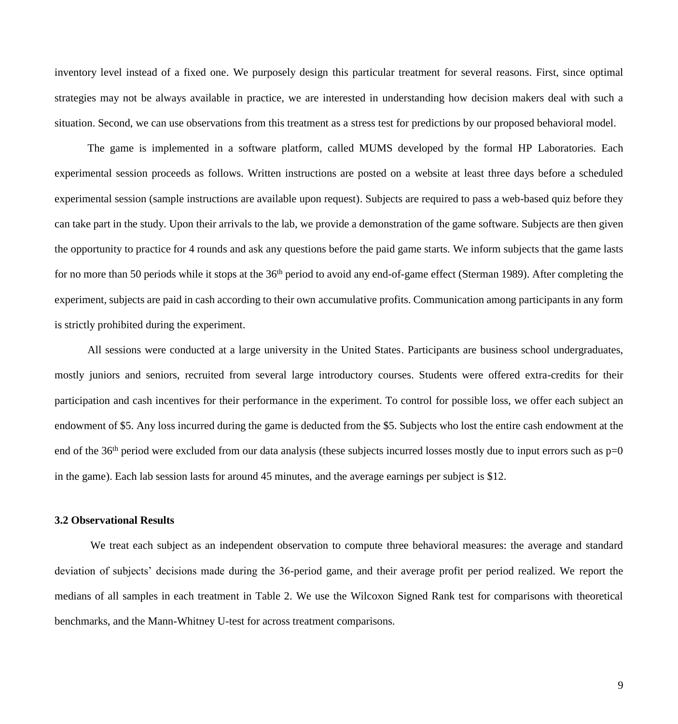inventory level instead of a fixed one. We purposely design this particular treatment for several reasons. First, since optimal strategies may not be always available in practice, we are interested in understanding how decision makers deal with such a situation. Second, we can use observations from this treatment as a stress test for predictions by our proposed behavioral model.

The game is implemented in a software platform, called MUMS developed by the formal HP Laboratories. Each experimental session proceeds as follows. Written instructions are posted on a website at least three days before a scheduled experimental session (sample instructions are available upon request). Subjects are required to pass a web-based quiz before they can take part in the study. Upon their arrivals to the lab, we provide a demonstration of the game software. Subjects are then given the opportunity to practice for 4 rounds and ask any questions before the paid game starts. We inform subjects that the game lasts for no more than 50 periods while it stops at the 36<sup>th</sup> period to avoid any end-of-game effect (Sterman 1989). After completing the experiment, subjects are paid in cash according to their own accumulative profits. Communication among participants in any form is strictly prohibited during the experiment.

All sessions were conducted at a large university in the United States. Participants are business school undergraduates, mostly juniors and seniors, recruited from several large introductory courses. Students were offered extra-credits for their participation and cash incentives for their performance in the experiment. To control for possible loss, we offer each subject an endowment of \$5. Any loss incurred during the game is deducted from the \$5. Subjects who lost the entire cash endowment at the end of the 36<sup>th</sup> period were excluded from our data analysis (these subjects incurred losses mostly due to input errors such as  $p=0$ in the game). Each lab session lasts for around 45 minutes, and the average earnings per subject is \$12.

#### **3.2 Observational Results**

We treat each subject as an independent observation to compute three behavioral measures: the average and standard deviation of subjects' decisions made during the 36-period game, and their average profit per period realized. We report the medians of all samples in each treatment in Table 2. We use the Wilcoxon Signed Rank test for comparisons with theoretical benchmarks, and the Mann-Whitney U-test for across treatment comparisons.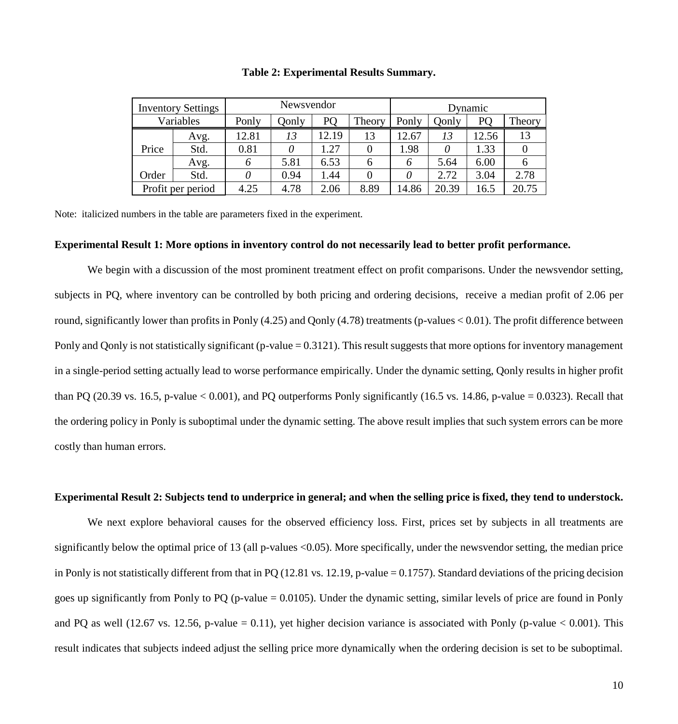|       | <b>Inventory Settings</b> | Newsvendor |       |       |        | Dynamic |       |       |        |
|-------|---------------------------|------------|-------|-------|--------|---------|-------|-------|--------|
|       | Variables                 | Ponly      | Qonly | PO    | Theory | Ponly   | Qonly | PO    | Theory |
|       | Avg.                      | 12.81      | 13    | 12.19 | 13     | 12.67   | 13    | 12.56 | 13     |
| Price | Std.                      | 0.81       |       | .27   |        | 1.98    |       | .33   |        |
|       | Avg.                      |            | 5.81  | 6.53  | 6      | 6       | 5.64  | 6.00  |        |
| Order | Std.                      |            | 0.94  | .44   |        | 0       | 2.72  | 3.04  | 2.78   |
|       | Profit per period         | 4.25       | 4.78  | 2.06  | 8.89   | 14.86   | 20.39 | 16.5  | 20.75  |

**Table 2: Experimental Results Summary.**

Note: italicized numbers in the table are parameters fixed in the experiment.

#### **Experimental Result 1: More options in inventory control do not necessarily lead to better profit performance.**

We begin with a discussion of the most prominent treatment effect on profit comparisons. Under the newsvendor setting, subjects in PQ, where inventory can be controlled by both pricing and ordering decisions, receive a median profit of 2.06 per round, significantly lower than profits in Ponly (4.25) and Qonly (4.78) treatments (p-values < 0.01). The profit difference between Ponly and Qonly is not statistically significant (p-value = 0.3121). This result suggests that more options for inventory management in a single-period setting actually lead to worse performance empirically. Under the dynamic setting, Qonly results in higher profit than PQ (20.39 vs. 16.5, p-value  $< 0.001$ ), and PQ outperforms Ponly significantly (16.5 vs. 14.86, p-value = 0.0323). Recall that the ordering policy in Ponly is suboptimal under the dynamic setting. The above result implies that such system errors can be more costly than human errors.

## **Experimental Result 2: Subjects tend to underprice in general; and when the selling price is fixed, they tend to understock.**

We next explore behavioral causes for the observed efficiency loss. First, prices set by subjects in all treatments are significantly below the optimal price of 13 (all p-values <0.05). More specifically, under the newsvendor setting, the median price in Ponly is not statistically different from that in PQ (12.81 vs. 12.19, p-value = 0.1757). Standard deviations of the pricing decision goes up significantly from Ponly to PQ (p-value = 0.0105). Under the dynamic setting, similar levels of price are found in Ponly and PQ as well (12.67 vs. 12.56, p-value = 0.11), yet higher decision variance is associated with Ponly (p-value  $< 0.001$ ). This result indicates that subjects indeed adjust the selling price more dynamically when the ordering decision is set to be suboptimal.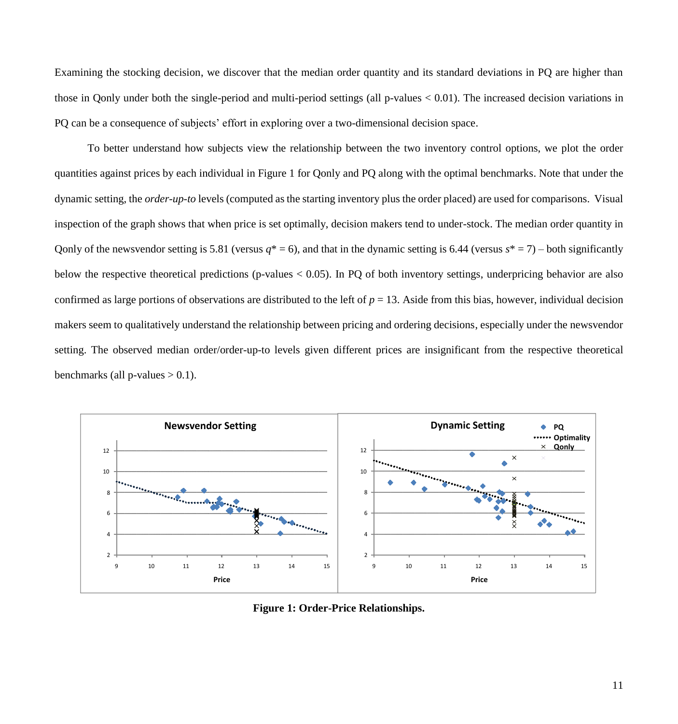Examining the stocking decision, we discover that the median order quantity and its standard deviations in PQ are higher than those in Qonly under both the single-period and multi-period settings (all p-values < 0.01). The increased decision variations in PQ can be a consequence of subjects' effort in exploring over a two-dimensional decision space.

To better understand how subjects view the relationship between the two inventory control options, we plot the order quantities against prices by each individual in Figure 1 for Qonly and PQ along with the optimal benchmarks. Note that under the dynamic setting, the *order-up-to* levels (computed as the starting inventory plus the order placed) are used for comparisons. Visual inspection of the graph shows that when price is set optimally, decision makers tend to under-stock. The median order quantity in Qonly of the newsvendor setting is 5.81 (versus  $q^* = 6$ ), and that in the dynamic setting is 6.44 (versus  $s^* = 7$ ) – both significantly below the respective theoretical predictions (p-values < 0.05). In PQ of both inventory settings, underpricing behavior are also confirmed as large portions of observations are distributed to the left of *p* = 13. Aside from this bias, however, individual decision makers seem to qualitatively understand the relationship between pricing and ordering decisions, especially under the newsvendor setting. The observed median order/order-up-to levels given different prices are insignificant from the respective theoretical benchmarks (all p-values  $> 0.1$ ).



**Figure 1: Order-Price Relationships.**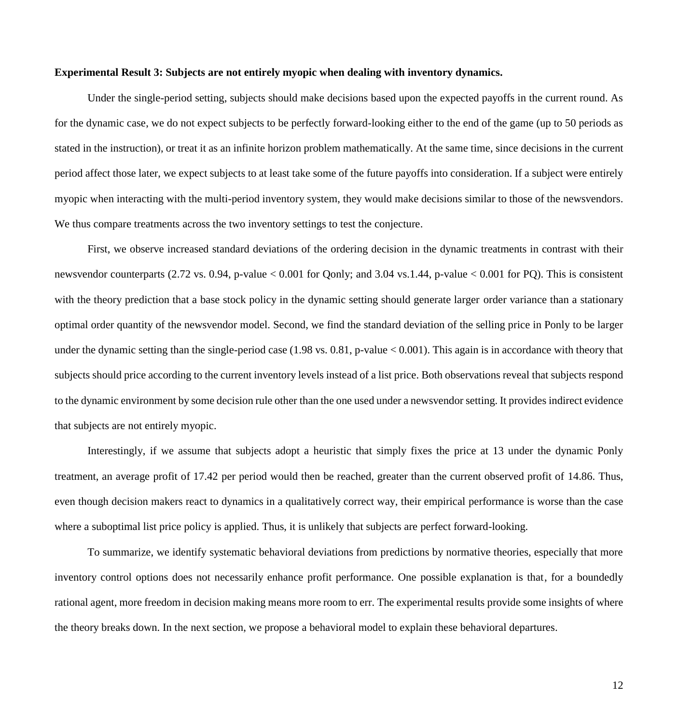#### **Experimental Result 3: Subjects are not entirely myopic when dealing with inventory dynamics.**

Under the single-period setting, subjects should make decisions based upon the expected payoffs in the current round. As for the dynamic case, we do not expect subjects to be perfectly forward-looking either to the end of the game (up to 50 periods as stated in the instruction), or treat it as an infinite horizon problem mathematically. At the same time, since decisions in the current period affect those later, we expect subjects to at least take some of the future payoffs into consideration. If a subject were entirely myopic when interacting with the multi-period inventory system, they would make decisions similar to those of the newsvendors. We thus compare treatments across the two inventory settings to test the conjecture.

First, we observe increased standard deviations of the ordering decision in the dynamic treatments in contrast with their newsvendor counterparts (2.72 vs. 0.94, p-value < 0.001 for Qonly; and 3.04 vs.1.44, p-value < 0.001 for PQ). This is consistent with the theory prediction that a base stock policy in the dynamic setting should generate larger order variance than a stationary optimal order quantity of the newsvendor model. Second, we find the standard deviation of the selling price in Ponly to be larger under the dynamic setting than the single-period case (1.98 vs. 0.81, p-value < 0.001). This again is in accordance with theory that subjects should price according to the current inventory levels instead of a list price. Both observations reveal that subjects respond to the dynamic environment by some decision rule other than the one used under a newsvendor setting. It provides indirect evidence that subjects are not entirely myopic.

Interestingly, if we assume that subjects adopt a heuristic that simply fixes the price at 13 under the dynamic Ponly treatment, an average profit of 17.42 per period would then be reached, greater than the current observed profit of 14.86. Thus, even though decision makers react to dynamics in a qualitatively correct way, their empirical performance is worse than the case where a suboptimal list price policy is applied. Thus, it is unlikely that subjects are perfect forward-looking.

To summarize, we identify systematic behavioral deviations from predictions by normative theories, especially that more inventory control options does not necessarily enhance profit performance. One possible explanation is that, for a boundedly rational agent, more freedom in decision making means more room to err. The experimental results provide some insights of where the theory breaks down. In the next section, we propose a behavioral model to explain these behavioral departures.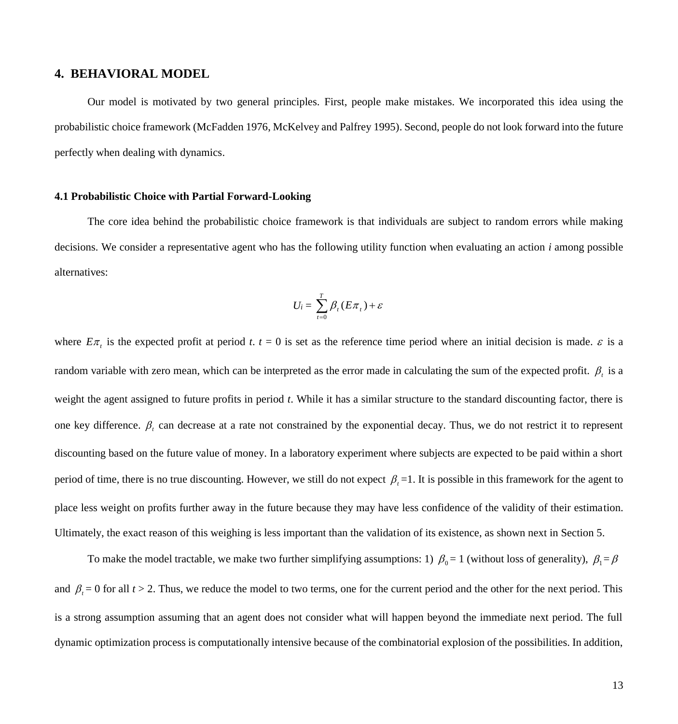# **4. BEHAVIORAL MODEL**

Our model is motivated by two general principles. First, people make mistakes. We incorporated this idea using the probabilistic choice framework (McFadden 1976, McKelvey and Palfrey 1995). Second, people do not look forward into the future perfectly when dealing with dynamics.

### **4.1 Probabilistic Choice with Partial Forward-Looking**

The core idea behind the probabilistic choice framework is that individuals are subject to random errors while making decisions. We consider a representative agent who has the following utility function when evaluating an action *i* among possible alternatives:

$$
U_i = \sum_{t=0}^{T} \beta_t (E \pi_t) + \varepsilon
$$

where  $E\pi_t$  is the expected profit at period t.  $t = 0$  is set as the reference time period where an initial decision is made.  $\varepsilon$  is a random variable with zero mean, which can be interpreted as the error made in calculating the sum of the expected profit.  $\beta_t$  is a weight the agent assigned to future profits in period *t*. While it has a similar structure to the standard discounting factor, there is one key difference.  $\beta_t$  can decrease at a rate not constrained by the exponential decay. Thus, we do not restrict it to represent discounting based on the future value of money. In a laboratory experiment where subjects are expected to be paid within a short period of time, there is no true discounting. However, we still do not expect  $\beta_t = 1$ . It is possible in this framework for the agent to place less weight on profits further away in the future because they may have less confidence of the validity of their estimation. Ultimately, the exact reason of this weighing is less important than the validation of its existence, as shown next in Section 5.

To make the model tractable, we make two further simplifying assumptions: 1)  $\beta_0 = 1$  (without loss of generality),  $\beta_1 = \beta$ and  $\beta_t = 0$  for all  $t > 2$ . Thus, we reduce the model to two terms, one for the current period and the other for the next period. This is a strong assumption assuming that an agent does not consider what will happen beyond the immediate next period. The full dynamic optimization process is computationally intensive because of the combinatorial explosion of the possibilities. In addition,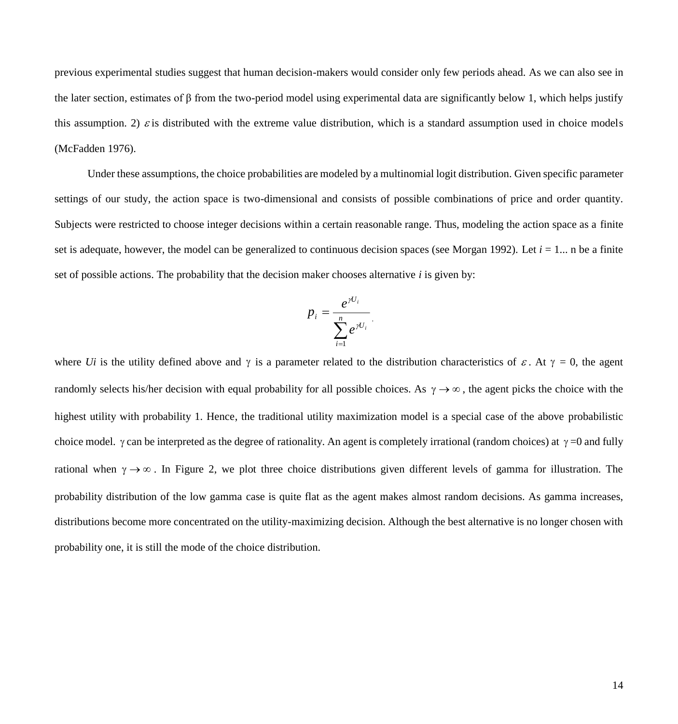previous experimental studies suggest that human decision-makers would consider only few periods ahead. As we can also see in the later section, estimates of  $\beta$  from the two-period model using experimental data are significantly below 1, which helps justify this assumption. 2)  $\varepsilon$  is distributed with the extreme value distribution, which is a standard assumption used in choice models (McFadden 1976).

Under these assumptions, the choice probabilities are modeled by a multinomial logit distribution. Given specific parameter settings of our study, the action space is two-dimensional and consists of possible combinations of price and order quantity. Subjects were restricted to choose integer decisions within a certain reasonable range. Thus, modeling the action space as a finite set is adequate, however, the model can be generalized to continuous decision spaces (see Morgan 1992). Let  $i = 1...$  n be a finite set of possible actions. The probability that the decision maker chooses alternative *i* is given by:

$$
p_i = \frac{e^{\gamma U_i}}{\sum_{i=1}^n e^{\gamma U_i}}.
$$

where *Ui* is the utility defined above and  $\gamma$  is a parameter related to the distribution characteristics of  $\varepsilon$ . At  $\gamma = 0$ , the agent randomly selects his/her decision with equal probability for all possible choices. As  $\gamma \to \infty$ , the agent picks the choice with the highest utility with probability 1. Hence, the traditional utility maximization model is a special case of the above probabilistic choice model.  $\gamma$  can be interpreted as the degree of rationality. An agent is completely irrational (random choices) at  $\gamma = 0$  and fully rational when  $\gamma \to \infty$ . In Figure 2, we plot three choice distributions given different levels of gamma for illustration. The probability distribution of the low gamma case is quite flat as the agent makes almost random decisions. As gamma increases, distributions become more concentrated on the utility-maximizing decision. Although the best alternative is no longer chosen with probability one, it is still the mode of the choice distribution.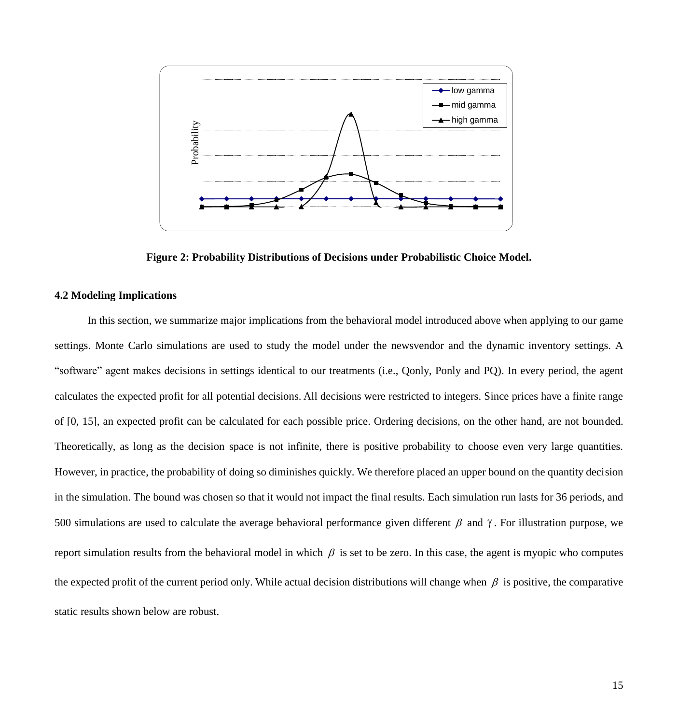

**Figure 2: Probability Distributions of Decisions under Probabilistic Choice Model.**

## **4.2 Modeling Implications**

In this section, we summarize major implications from the behavioral model introduced above when applying to our game settings. Monte Carlo simulations are used to study the model under the newsvendor and the dynamic inventory settings. A "software" agent makes decisions in settings identical to our treatments (i.e., Qonly, Ponly and PQ). In every period, the agent calculates the expected profit for all potential decisions. All decisions were restricted to integers. Since prices have a finite range of [0, 15], an expected profit can be calculated for each possible price. Ordering decisions, on the other hand, are not bounded. Theoretically, as long as the decision space is not infinite, there is positive probability to choose even very large quantities. However, in practice, the probability of doing so diminishes quickly. We therefore placed an upper bound on the quantity decision in the simulation. The bound was chosen so that it would not impact the final results. Each simulation run lasts for 36 periods, and 500 simulations are used to calculate the average behavioral performance given different  $\beta$  and  $\gamma$ . For illustration purpose, we report simulation results from the behavioral model in which  $\beta$  is set to be zero. In this case, the agent is myopic who computes the expected profit of the current period only. While actual decision distributions will change when  $\beta$  is positive, the comparative Figure 2: Probability D<br> **Example 2:** Probability D<br> **Example 2:** Probability D<br> **Example 2:** Probability D<br>
4.2 Modeling Implications<br>
In this section, we summarize major in<br>
"software" agent makes decisions in settings<br>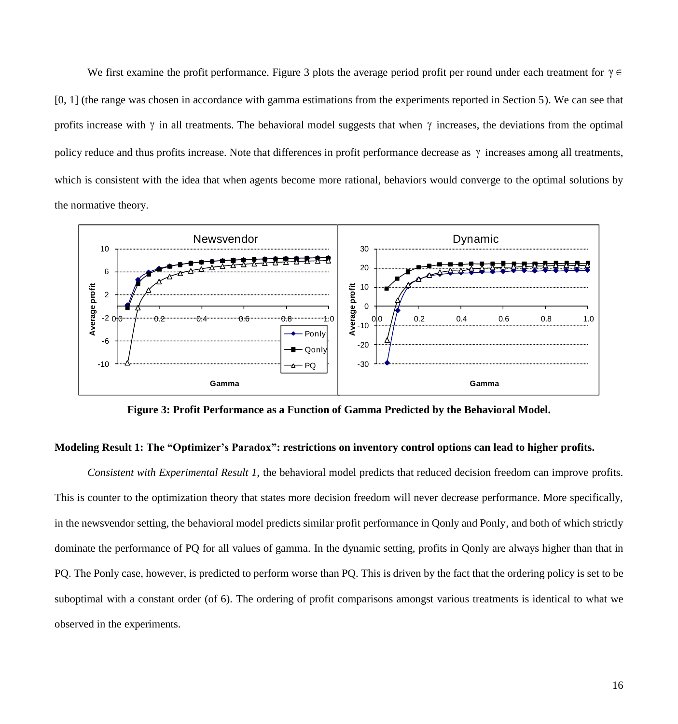We first examine the profit performance. Figure 3 plots the average period profit per round under each treatment for  $\gamma \in$ [0, 1] (the range was chosen in accordance with gamma estimations from the experiments reported in Section 5). We can see that profits increase with  $\gamma$  in all treatments. The behavioral model suggests that when  $\gamma$  increases, the deviations from the optimal policy reduce and thus profits increase. Note that differences in profit performance decrease as  $\gamma$  increases among all treatments, which is consistent with the idea that when agents become more rational, behaviors would converge to the optimal solutions by the normative theory.



**Figure 3: Profit Performance as a Function of Gamma Predicted by the Behavioral Model.**

# **Modeling Result 1: The "Optimizer's Paradox": restrictions on inventory control options can lead to higher profits.**

*Consistent with Experimental Result 1,* the behavioral model predicts that reduced decision freedom can improve profits. This is counter to the optimization theory that states more decision freedom will never decrease performance. More specifically, in the newsvendor setting, the behavioral model predicts similar profit performance in Qonly and Ponly, and both of which strictly dominate the performance of PQ for all values of gamma. In the dynamic setting, profits in Qonly are always higher than that in PQ. The Ponly case, however, is predicted to perform worse than PQ. This is driven by the fact that the ordering policy is set to be suboptimal with a constant order (of 6). The ordering of profit comparisons amongst various treatments is identical to what we observed in the experiments.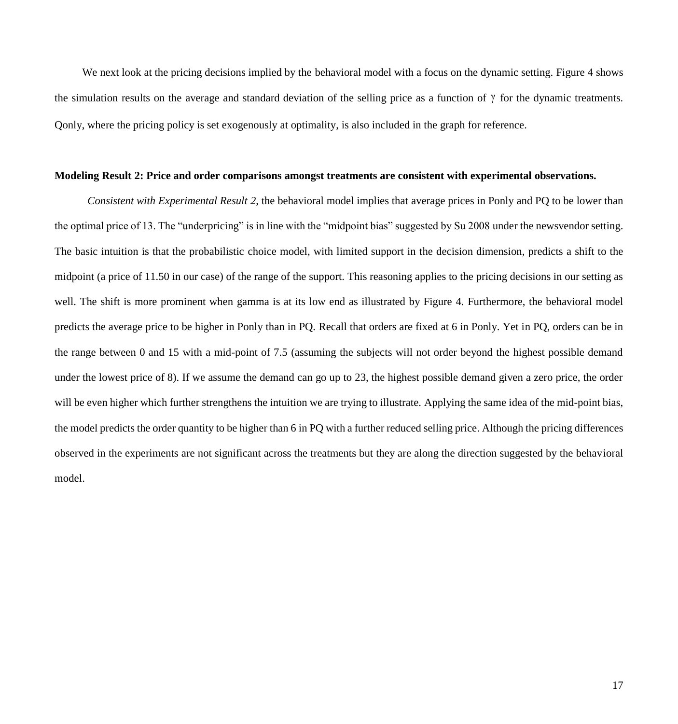We next look at the pricing decisions implied by the behavioral model with a focus on the dynamic setting. Figure 4 shows the simulation results on the average and standard deviation of the selling price as a function of  $\gamma$  for the dynamic treatments. Qonly, where the pricing policy is set exogenously at optimality, is also included in the graph for reference.

## **Modeling Result 2: Price and order comparisons amongst treatments are consistent with experimental observations.**

*Consistent with Experimental Result 2*, the behavioral model implies that average prices in Ponly and PQ to be lower than the optimal price of 13. The "underpricing" is in line with the "midpoint bias" suggested by Su 2008 under the newsvendor setting. The basic intuition is that the probabilistic choice model, with limited support in the decision dimension, predicts a shift to the midpoint (a price of 11.50 in our case) of the range of the support. This reasoning applies to the pricing decisions in our setting as well. The shift is more prominent when gamma is at its low end as illustrated by Figure 4. Furthermore, the behavioral model predicts the average price to be higher in Ponly than in PQ. Recall that orders are fixed at 6 in Ponly. Yet in PQ, orders can be in the range between 0 and 15 with a mid-point of 7.5 (assuming the subjects will not order beyond the highest possible demand under the lowest price of 8). If we assume the demand can go up to 23, the highest possible demand given a zero price, the order will be even higher which further strengthens the intuition we are trying to illustrate. Applying the same idea of the mid-point bias, the model predicts the order quantity to be higher than 6 in PQ with a further reduced selling price. Although the pricing differences observed in the experiments are not significant across the treatments but they are along the direction suggested by the behavioral model.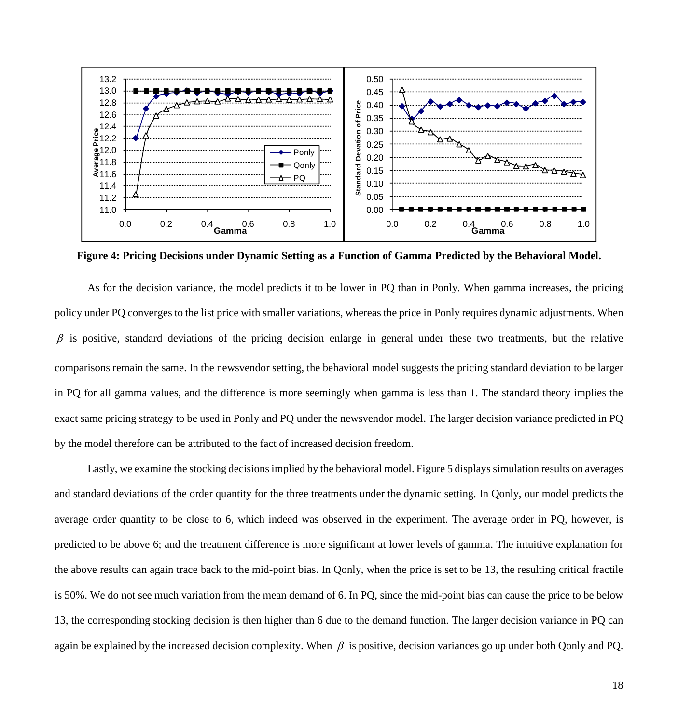

**Figure 4: Pricing Decisions under Dynamic Setting as a Function of Gamma Predicted by the Behavioral Model.**

As for the decision variance, the model predicts it to be lower in PQ than in Ponly. When gamma increases, the pricing policy under PQ converges to the list price with smaller variations, whereas the price in Ponly requires dynamic adjustments. When  $\beta$  is positive, standard deviations of the pricing decision enlarge in general under these two treatments, but the relative comparisons remain the same. In the newsvendor setting, the behavioral model suggests the pricing standard deviation to be larger in PQ for all gamma values, and the difference is more seemingly when gamma is less than 1. The standard theory implies the exact same pricing strategy to be used in Ponly and PQ under the newsvendor model. The larger decision variance predicted in PQ by the model therefore can be attributed to the fact of increased decision freedom.

Lastly, we examine the stocking decisions implied by the behavioral model. Figure 5 displays simulation results on averages and standard deviations of the order quantity for the three treatments under the dynamic setting. In Qonly, our model predicts the average order quantity to be close to 6, which indeed was observed in the experiment. The average order in PQ, however, is predicted to be above 6; and the treatment difference is more significant at lower levels of gamma. The intuitive explanation for the above results can again trace back to the mid-point bias. In Qonly, when the price is set to be 13, the resulting critical fractile is 50%. We do not see much variation from the mean demand of 6. In PQ, since the mid-point bias can cause the price to be below 13, the corresponding stocking decision is then higher than 6 due to the demand function. The larger decision variance in PQ can again be explained by the increased decision complexity. When  $\beta$  is positive, decision variances go up under both Qonly and PQ.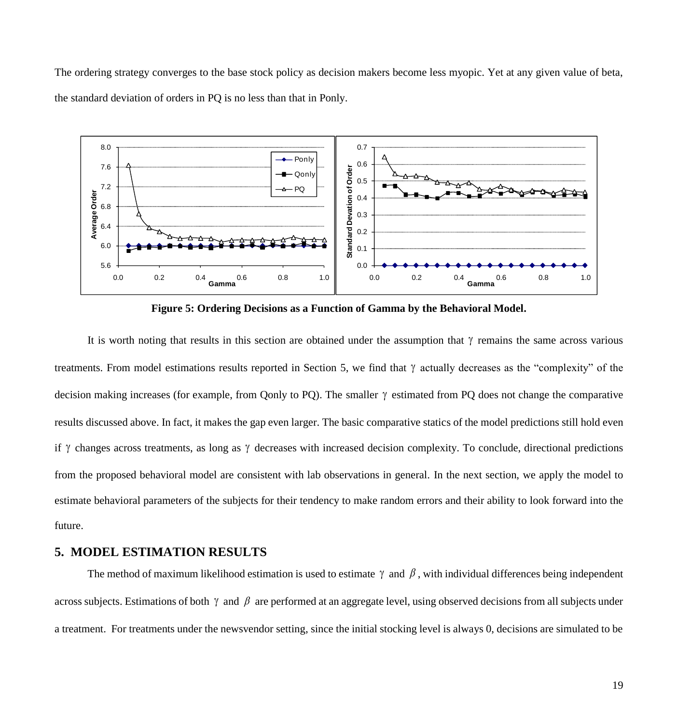The ordering strategy converges to the base stock policy as decision makers become less myopic. Yet at any given value of beta, the standard deviation of orders in PQ is no less than that in Ponly.



**Figure 5: Ordering Decisions as a Function of Gamma by the Behavioral Model.**

It is worth noting that results in this section are obtained under the assumption that  $\gamma$  remains the same across various treatments. From model estimations results reported in Section 5, we find that  $\gamma$  actually decreases as the "complexity" of the decision making increases (for example, from Qonly to PQ). The smaller  $\gamma$  estimated from PQ does not change the comparative results discussed above. In fact, it makes the gap even larger. The basic comparative statics of the model predictions still hold even if  $\gamma$  changes across treatments, as long as  $\gamma$  decreases with increased decision complexity. To conclude, directional predictions from the proposed behavioral model are consistent with lab observations in general. In the next section, we apply the model to estimate behavioral parameters of the subjects for their tendency to make random errors and their ability to look forward into the future.

# **5. MODEL ESTIMATION RESULTS**

The method of maximum likelihood estimation is used to estimate  $\gamma$  and  $\beta$ , with individual differences being independent across subjects. Estimations of both  $\gamma$  and  $\beta$  are performed at an aggregate level, using observed decisions from all subjects under a treatment. For treatments under the newsvendor setting, since the initial stocking level is always 0, decisions are simulated to be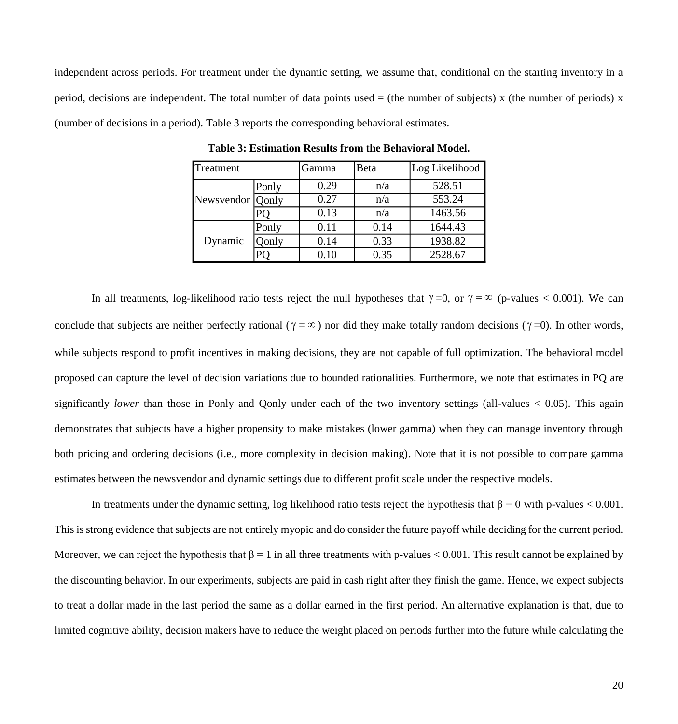independent across periods. For treatment under the dynamic setting, we assume that, conditional on the starting inventory in a period, decisions are independent. The total number of data points used  $=$  (the number of subjects) x (the number of periods) x (number of decisions in a period). Table 3 reports the corresponding behavioral estimates.

| Treatment          |              | Gamma    | Beta | Log Likelihood |  |
|--------------------|--------------|----------|------|----------------|--|
| Newsvendor   Qonly | Ponly        | 0.29     | n/a  | 528.51         |  |
|                    |              | 0.27     | n/a  | 553.24         |  |
|                    |              | 0.13     | n/a  | 1463.56        |  |
| Dynamic            | Ponly        | 0.11     | 0.14 | 1644.43        |  |
|                    | <b>Conly</b> | 0.14     | 0.33 | 1938.82        |  |
|                    |              | $0.10\,$ | 0.35 | 2528.67        |  |

**Table 3: Estimation Results from the Behavioral Model.**

In all treatments, log-likelihood ratio tests reject the null hypotheses that  $\gamma = 0$ , or  $\gamma = \infty$  (p-values < 0.001). We can conclude that subjects are neither perfectly rational ( $\gamma = \infty$ ) nor did they make totally random decisions ( $\gamma = 0$ ). In other words, while subjects respond to profit incentives in making decisions, they are not capable of full optimization. The behavioral model proposed can capture the level of decision variations due to bounded rationalities. Furthermore, we note that estimates in PQ are significantly *lower* than those in Ponly and Qonly under each of the two inventory settings (all-values  $< 0.05$ ). This again demonstrates that subjects have a higher propensity to make mistakes (lower gamma) when they can manage inventory through both pricing and ordering decisions (i.e., more complexity in decision making). Note that it is not possible to compare gamma estimates between the newsvendor and dynamic settings due to different profit scale under the respective models.

In treatments under the dynamic setting, log likelihood ratio tests reject the hypothesis that  $\beta = 0$  with p-values < 0.001. This is strong evidence that subjects are not entirely myopic and do consider the future payoff while deciding for the current period. Moreover, we can reject the hypothesis that  $\beta = 1$  in all three treatments with p-values < 0.001. This result cannot be explained by the discounting behavior. In our experiments, subjects are paid in cash right after they finish the game. Hence, we expect subjects to treat a dollar made in the last period the same as a dollar earned in the first period. An alternative explanation is that, due to limited cognitive ability, decision makers have to reduce the weight placed on periods further into the future while calculating the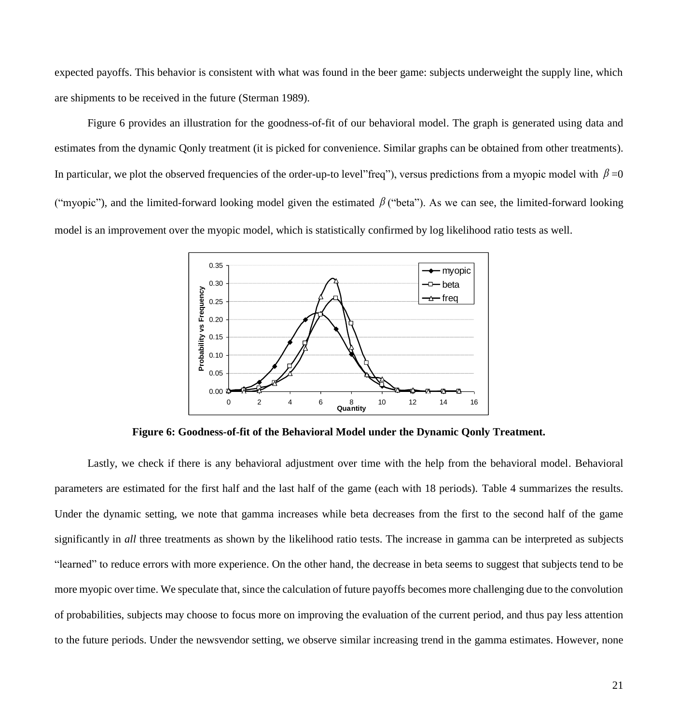expected payoffs. This behavior is consistent with what was found in the beer game: subjects underweight the supply line, which are shipments to be received in the future (Sterman 1989).

Figure 6 provides an illustration for the goodness-of-fit of our behavioral model. The graph is generated using data and estimates from the dynamic Qonly treatment (it is picked for convenience. Similar graphs can be obtained from other treatments). In particular, we plot the observed frequencies of the order-up-to level"freq"), versus predictions from a myopic model with  $\beta$ =0 ("myopic"), and the limited-forward looking model given the estimated  $\beta$  ("beta"). As we can see, the limited-forward looking model is an improvement over the myopic model, which is statistically confirmed by log likelihood ratio tests as well.



**Figure 6: Goodness-of-fit of the Behavioral Model under the Dynamic Qonly Treatment.**

Lastly, we check if there is any behavioral adjustment over time with the help from the behavioral model. Behavioral parameters are estimated for the first half and the last half of the game (each with 18 periods). Table 4 summarizes the results. Under the dynamic setting, we note that gamma increases while beta decreases from the first to the second half of the game significantly in *all* three treatments as shown by the likelihood ratio tests. The increase in gamma can be interpreted as subjects "learned" to reduce errors with more experience. On the other hand, the decrease in beta seems to suggest that subjects tend to be more myopic over time. We speculate that, since the calculation of future payoffs becomes more challenging due to the convolution of probabilities, subjects may choose to focus more on improving the evaluation of the current period, and thus pay less attention to the future periods. Under the newsvendor setting, we observe similar increasing trend in the gamma estimates. However, none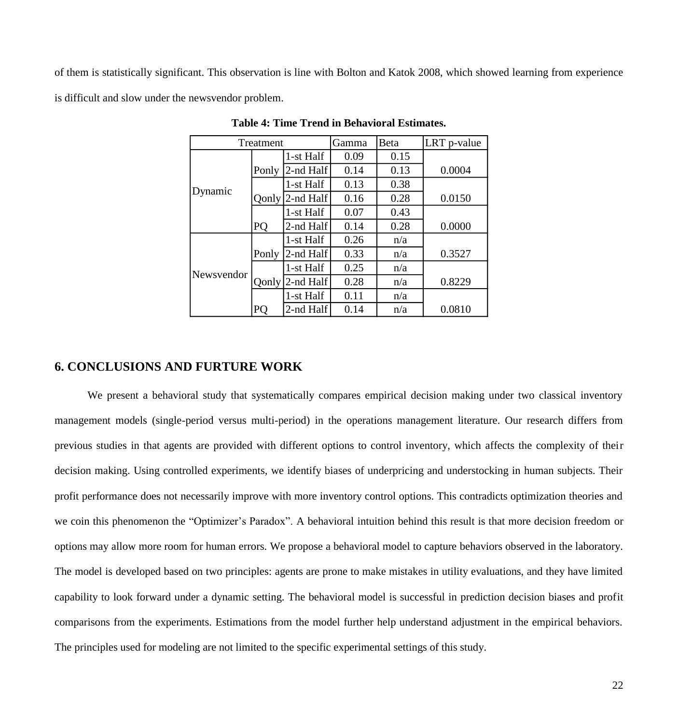of them is statistically significant. This observation is line with Bolton and Katok 2008, which showed learning from experience is difficult and slow under the newsvendor problem.

| Treatment  |              |           | Gamma | Beta | LRT p-value |
|------------|--------------|-----------|-------|------|-------------|
|            |              | 1-st Half | 0.09  | 0.15 |             |
| Dynamic    | Ponly        | 2-nd Half | 0.14  | 0.13 | 0.0004      |
|            |              | 1-st Half | 0.13  | 0.38 |             |
|            | <b>Qonly</b> | 2-nd Half | 0.16  | 0.28 | 0.0150      |
|            |              | 1-st Half | 0.07  | 0.43 |             |
|            | PQ           | 2-nd Half | 0.14  | 0.28 | 0.0000      |
|            |              | 1-st Half | 0.26  | n/a  |             |
| Newsvendor | Ponly        | 2-nd Half | 0.33  | n/a  | 0.3527      |
|            |              | 1-st Half | 0.25  | n/a  |             |
|            | Qonly        | 2-nd Half | 0.28  | n/a  | 0.8229      |
|            |              | 1-st Half | 0.11  | n/a  |             |
|            | PO           | 2-nd Half | 0.14  | n/a  | 0.0810      |

**Table 4: Time Trend in Behavioral Estimates.**

# **6. CONCLUSIONS AND FURTURE WORK**

We present a behavioral study that systematically compares empirical decision making under two classical inventory management models (single-period versus multi-period) in the operations management literature. Our research differs from previous studies in that agents are provided with different options to control inventory, which affects the complexity of their decision making. Using controlled experiments, we identify biases of underpricing and understocking in human subjects. Their profit performance does not necessarily improve with more inventory control options. This contradicts optimization theories and we coin this phenomenon the "Optimizer's Paradox". A behavioral intuition behind this result is that more decision freedom or options may allow more room for human errors. We propose a behavioral model to capture behaviors observed in the laboratory. The model is developed based on two principles: agents are prone to make mistakes in utility evaluations, and they have limited capability to look forward under a dynamic setting. The behavioral model is successful in prediction decision biases and profit comparisons from the experiments. Estimations from the model further help understand adjustment in the empirical behaviors. The principles used for modeling are not limited to the specific experimental settings of this study.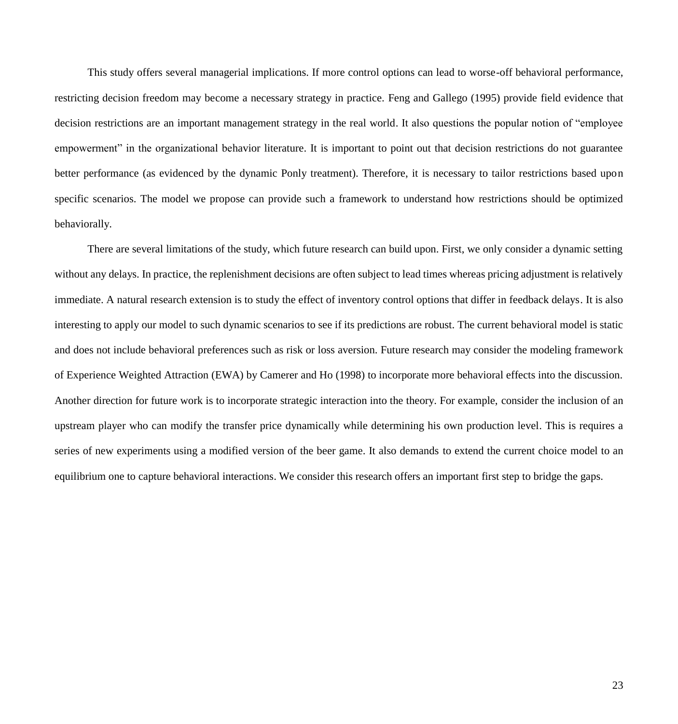This study offers several managerial implications. If more control options can lead to worse-off behavioral performance, restricting decision freedom may become a necessary strategy in practice. Feng and Gallego (1995) provide field evidence that decision restrictions are an important management strategy in the real world. It also questions the popular notion of "employee empowerment" in the organizational behavior literature. It is important to point out that decision restrictions do not guarantee better performance (as evidenced by the dynamic Ponly treatment). Therefore, it is necessary to tailor restrictions based upon specific scenarios. The model we propose can provide such a framework to understand how restrictions should be optimized behaviorally.

There are several limitations of the study, which future research can build upon. First, we only consider a dynamic setting without any delays. In practice, the replenishment decisions are often subject to lead times whereas pricing adjustment is relatively immediate. A natural research extension is to study the effect of inventory control options that differ in feedback delays. It is also interesting to apply our model to such dynamic scenarios to see if its predictions are robust. The current behavioral model is static and does not include behavioral preferences such as risk or loss aversion. Future research may consider the modeling framework of Experience Weighted Attraction (EWA) by Camerer and Ho (1998) to incorporate more behavioral effects into the discussion. Another direction for future work is to incorporate strategic interaction into the theory. For example, consider the inclusion of an upstream player who can modify the transfer price dynamically while determining his own production level. This is requires a series of new experiments using a modified version of the beer game. It also demands to extend the current choice model to an equilibrium one to capture behavioral interactions. We consider this research offers an important first step to bridge the gaps.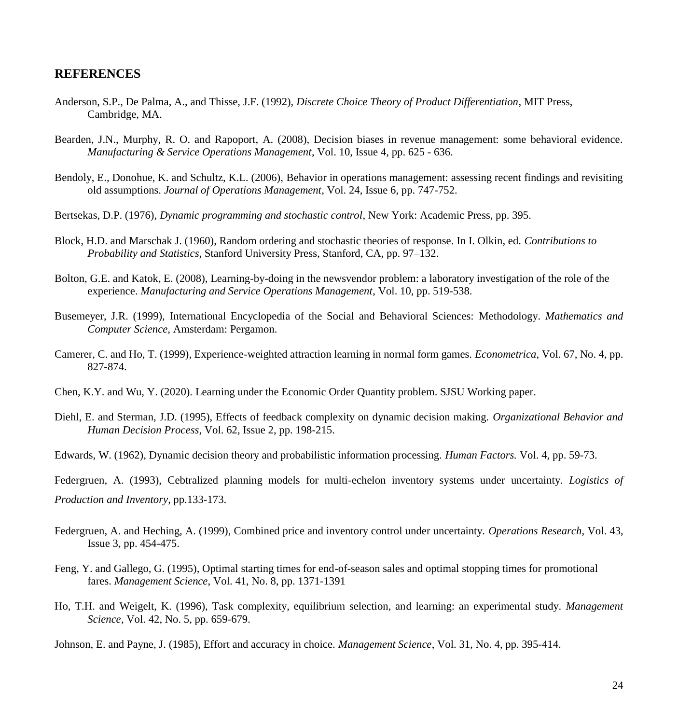# **REFERENCES**

- Anderson, S.P., De Palma, A., and Thisse, J.F. (1992), *Discrete Choice Theory of Product Differentiation*, MIT Press, Cambridge, MA.
- Bearden, J.N., Murphy, R. O. and Rapoport, A. (2008), Decision biases in revenue management: some behavioral evidence. *Manufacturing & Service Operations Management*, Vol. 10, Issue 4, pp. 625 - 636.
- Bendoly, E., Donohue, K. and Schultz, K.L. (2006), Behavior in operations management: assessing recent findings and revisiting old assumptions. *Journal of Operations Management*, Vol. 24, Issue 6, pp. 747-752.
- Bertsekas, D.P. (1976), *Dynamic programming and stochastic control*, New York: Academic Press, pp. 395.
- Block, H.D. and Marschak J. (1960), Random ordering and stochastic theories of response. In I. Olkin, ed. *Contributions to Probability and Statistics*, Stanford University Press, Stanford, CA, pp. 97–132.
- Bolton, G.E. and Katok, E. (2008), Learning-by-doing in the newsvendor problem: a laboratory investigation of the role of the experience. *Manufacturing and Service Operations Management*, Vol. 10, pp. 519-538.
- Busemeyer, J.R. (1999), International Encyclopedia of the Social and Behavioral Sciences: Methodology. *Mathematics and Computer Science,* Amsterdam: Pergamon.
- Camerer, C. and Ho, T. (1999), Experience-weighted attraction learning in normal form games. *Econometrica*, Vol. 67, No. 4, pp. 827-874.
- Chen, K.Y. and Wu, Y. (2020). Learning under the Economic Order Quantity problem. SJSU Working paper.
- Diehl, E. and Sterman, J.D. (1995), Effects of feedback complexity on dynamic decision making. *Organizational Behavior and Human Decision Process*, Vol. 62, Issue 2, pp. 198-215.
- Edwards, W. (1962), Dynamic decision theory and probabilistic information processing. *Human Factors.* Vol. 4, pp. 59-73.

Federgruen, A. (1993), Cebtralized planning models for multi-echelon inventory systems under uncertainty. *Logistics of Production and Inventory*, pp.133-173.

- Federgruen, A. and Heching, A. (1999), Combined price and inventory control under uncertainty. *Operations Research*, Vol. 43, Issue 3, pp. 454-475.
- Feng, Y. and Gallego, G. (1995), Optimal starting times for end-of-season sales and optimal stopping times for promotional fares. *Management Science*, Vol. 41, No. 8, pp. 1371-1391
- Ho, T.H. and Weigelt, K. (1996), Task complexity, equilibrium selection, and learning: an experimental study. *Management Science*, Vol. 42, No. 5, pp. 659-679.

Johnson, E. and Payne, J. (1985), Effort and accuracy in choice. *Management Science*, Vol. 31, No. 4, pp. 395-414.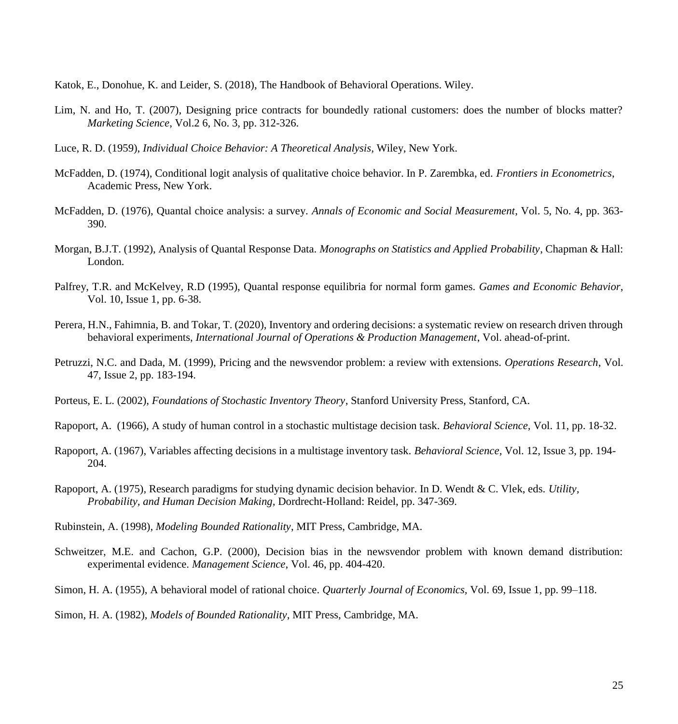Katok, E., Donohue, K. and Leider, S. (2018), The Handbook of Behavioral Operations. Wiley.

- Lim, N. and Ho, T. (2007), Designing price contracts for boundedly rational customers: does the number of blocks matter? *Marketing Science*, Vol.2 6, No. 3, pp. 312-326.
- Luce, R. D. (1959), *Individual Choice Behavior: A Theoretical Analysis,* Wiley, New York.
- McFadden, D. (1974), Conditional logit analysis of qualitative choice behavior. In P. Zarembka, ed. *Frontiers in Econometrics*, Academic Press, New York.
- McFadden, D. (1976), Quantal choice analysis: a survey. *Annals of Economic and Social Measurement*, Vol. 5, No. 4, pp. 363- 390.
- Morgan, B.J.T. (1992), Analysis of Quantal Response Data. *Monographs on Statistics and Applied Probability*, Chapman & Hall: London.
- Palfrey, T.R. and McKelvey, R.D (1995), Quantal response equilibria for normal form games. *Games and Economic Behavior*, Vol. 10, Issue 1, pp. 6-38.
- Perera, H.N., Fahimnia, B. and Tokar, T. (2020), Inventory and ordering decisions: a systematic review on research driven through behavioral experiments, *International Journal of Operations & Production Management*, Vol. ahead-of-print.
- Petruzzi, N.C. and Dada, M. (1999), Pricing and the newsvendor problem: a review with extensions. *Operations Research*, Vol. 47, Issue 2, pp. 183-194.
- Porteus, E. L. (2002), *Foundations of Stochastic Inventory Theory*, Stanford University Press, Stanford, CA.
- Rapoport, A. (1966), A study of human control in a stochastic multistage decision task. *Behavioral Science,* Vol. 11, pp. 18-32.
- Rapoport, A. (1967), Variables affecting decisions in a multistage inventory task. *Behavioral Science,* Vol. 12, Issue 3, pp. 194- 204.
- Rapoport, A. (1975), Research paradigms for studying dynamic decision behavior. In D. Wendt & C. Vlek, eds. *Utility, Probability, and Human Decision Making,* Dordrecht-Holland: Reidel, pp. 347-369.
- Rubinstein, A. (1998), *Modeling Bounded Rationality*, MIT Press, Cambridge, MA.
- Schweitzer, M.E. and Cachon, G.P. (2000), Decision bias in the newsvendor problem with known demand distribution: experimental evidence. *Management Science*, Vol. 46, pp. 404-420.
- Simon, H. A. (1955), A behavioral model of rational choice. *Quarterly Journal of Economics,* Vol. 69, Issue 1, pp. 99–118.

Simon, H. A. (1982), *Models of Bounded Rationality*, MIT Press, Cambridge, MA.